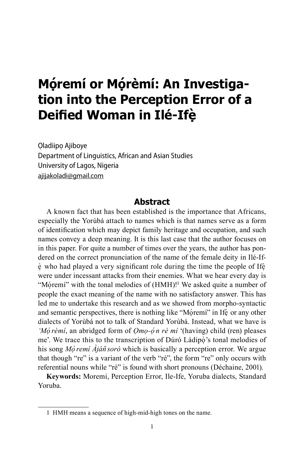# **Mọ ́remí or Mọ ́ rèmí: An Investigation into the Perception Error of a Deified Woman in Ilé-Ifẹ ̀**

Oladiipo Ajiboye Department of Linguistics, African and Asian Studies University of Lagos, Nigeria ajijakoladi@gmail.com

#### **Abstract**

A known fact that has been established is the importance that Africans, especially the Yorùbá attach to names which is that names serve as a form of identification which may depict family heritage and occupation, and such names convey a deep meaning. It is this last case that the author focuses on in this paper. For quite a number of times over the years, the author has pondered on the correct pronunciation of the name of the female deity in Ilé-If- $\dot{\text{e}}$  who had played a very significant role during the time the people of Ife were under incessant attacks from their enemies. What we hear every day is "Móremí" with the tonal melodies of (HMH)!<sup>1</sup> We asked quite a number of people the exact meaning of the name with no satisfactory answer. This has led me to undertake this research and as we showed from morpho-syntactic and semantic perspectives, there is nothing like "Moremí" in Ife or any other dialects of Yorùbá not to talk of Standard Yorùbá. Instead, what we have is *'Mọ́rèmí*, an abridged form of *Ọmọ-ọ́ n rè mí* '(having) child (ren) pleases me'. We trace this to the transcription of Dúró Ládipò's tonal melodies of his song *Mọ́remí Àján̄sorò* which is basically a perception error. We argue that though "re" is a variant of the verb "rè", the form "re" only occurs with referential nouns while "rè" is found with short pronouns (Déchaine, 2001).

**Keywords:** Moremi, Perception Error, Ile-Ife, Yoruba dialects, Standard Yoruba.

<sup>1</sup> HMH means a sequence of high-mid-high tones on the name.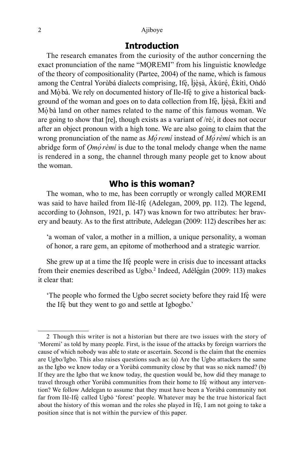#### 2 Ajiboye

## **Introduction**

The research emanates from the curiosity of the author concerning the exact pronunciation of the name "MOREMI" from his linguistic knowledge of the theory of compositionality (Partee, 2004) of the name, which is famous among the Central Yorùbá dialects comprising, Ifè, İjèṣà, Àkúré, Èkìtì, Ondó and Mò bà. We rely on documented history of Ile-Ifè to give a historical background of the woman and goes on to data collection from Ifè, İjèṣà, Èkìtì and Mo bà land on other names related to the name of this famous woman. We are going to show that [re], though exists as a variant of /rè/, it does not occur after an object pronoun with a high tone. We are also going to claim that the wrong pronunciation of the name as *Mọ́remí* instead of *Mọ́rèmí* which is an abridge form of *Ọmọ́rèmí* is due to the tonal melody change when the name is rendered in a song, the channel through many people get to know about the woman.

#### **Who is this woman?**

The woman, who to me, has been corruptly or wrongly called MOREMI was said to have hailed from Ilé-Ifè (Adelegan, 2009, pp. 112). The legend, according to (Johnson, 1921, p. 147) was known for two attributes: her bravery and beauty. As to the first attribute, Adelegan (2009: 112) describes her as:

'a woman of valor, a mother in a million, a unique personality, a woman of honor, a rare gem, an epitome of motherhood and a strategic warrior.

She grew up at a time the Ife people were in crisis due to incessant attacks from their enemies described as Ugbo.<sup>2</sup> Indeed, Adélégàn (2009: 113) makes it clear that:

'The people who formed the Ugbo secret society before they raid Ife were the Ife but they went to go and settle at Igbogbo.'

<sup>2</sup> Though this writer is not a historian but there are two issues with the story of 'Moremi' as told by many people. First, is the issue of the attacks by foreign warriors the cause of which nobody was able to state or ascertain. Second is the claim that the enemies are Ugbo/Igbo. This also raises questions such as: (a) Are the Ugbo attackers the same as the Igbo we know today or a Yorùbá community close by that was so nick named? (b) If they are the Igbo that we know today, the question would be, how did they manage to travel through other Yorùbá communities from their home to Ife without any intervention? We follow Adelegan to assume that they must have been a Yorùbá community not far from Ilé-Ifè called Ugbó 'forest' people. Whatever may be the true historical fact about the history of this woman and the roles she played in Ifè, I am not going to take a position since that is not within the purview of this paper.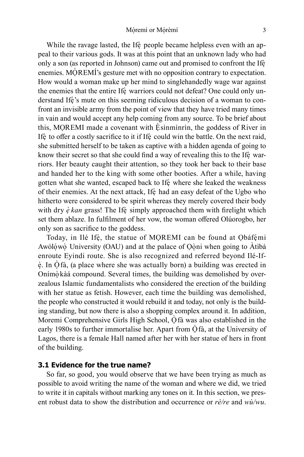While the ravage lasted, the Ife people became helpless even with an appeal to their various gods. It was at this point that an unknown lady who had only a son (as reported in Johnson) came out and promised to confront the Ife enemies. MOREMI's gesture met with no opposition contrary to expectation. How would a woman make up her mind to singlehandedly wage war against the enemies that the entire Ife warriors could not defeat? One could only understand Ife's mute on this seeming ridiculous decision of a woman to confront an invisible army from the point of view that they have tried many times in vain and would accept any help coming from any source. To be brief about this, MOREMI made a covenant with Esinminrin, the goddess of River in Ife to offer a costly sacrifice to it if Ife could win the battle. On the next raid, she submitted herself to be taken as captive with a hidden agenda of going to know their secret so that she could find a way of revealing this to the Ife warriors. Her beauty caught their attention, so they took her back to their base and handed her to the king with some other booties. After a while, having gotten what she wanted, escaped back to Ife where she leaked the weakness of their enemies. At the next attack, Ife had an easy defeat of the Ugbo who hitherto were considered to be spirit whereas they merely covered their body with dry  $\dot{e}$  *kan* grass! The Ife simply approached them with firelight which set them ablaze. In fulfilment of her vow, the woman offered Olúorogbo, her only son as sacrifice to the goddess.

Today, in Ilé Ifè, the statue of MOREMI can be found at Obáfémi Awólówò University (OAU) and at the palace of Oòni when going to Àtìbà enroute Eyindi route. She is also recognized and referred beyond Ilé-Ifè. In Ofà, (a place where she was actually born) a building was erected in Onímò kàá compound. Several times, the building was demolished by overzealous Islamic fundamentalists who considered the erection of the building with her statue as fetish. However, each time the building was demolished, the people who constructed it would rebuild it and today, not only is the building standing, but now there is also a shopping complex around it. In addition, Moremi Comprehensive Girls High School, Ofà was also established in the early 1980s to further immortalise her. Apart from  $\dot{O}$  fà, at the University of Lagos, there is a female Hall named after her with her statue of hers in front of the building.

#### **3.1 Evidence for the true name?**

So far, so good, you would observe that we have been trying as much as possible to avoid writing the name of the woman and where we did, we tried to write it in capitals without marking any tones on it. In this section, we present robust data to show the distribution and occurrence or *rè/re* and *wù/wu*.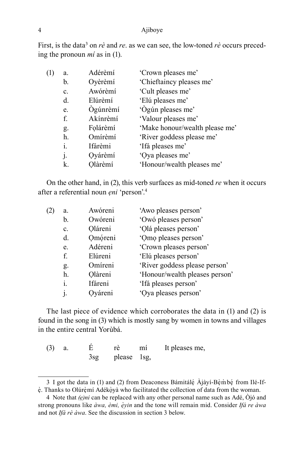#### 4 Ajiboye

First, is the data<sup>3</sup> on *rè* and *re*. as we can see, the low-toned *rè* occurs preceding the pronoun *mí* as in (1).

| (1) | a.             | Adérèmí  | 'Crown pleases me'             |
|-----|----------------|----------|--------------------------------|
|     | b.             | Oyèrèmí  | 'Chieftaincy pleases me'       |
|     | $\mathbf{c}$ . | Awórèmí  | 'Cult pleases me'              |
|     | d.             | Elúrèmí  | 'Elú pleases me'               |
|     | e.             | Ògúnrèmí | 'Ògún pleases me'              |
|     | f.             | Akínrèmí | 'Valour pleases me'            |
|     | g.             | Folárèmí | 'Make honour/wealth please me' |
|     | h.             | Omírèmí  | 'River goddess please me'      |
|     | i.             | Ifárèmi  | 'Ifá pleases me'               |
|     | j.             | Oyárèmí  | 'Oya pleases me'               |
|     | k.             | Olàrèmí  | 'Honour/wealth pleases me'     |

On the other hand, in (2), this verb surfaces as mid-toned *re* when it occurs after a referential noun *ẹni* 'person'.<sup>4</sup>

| (2) | a.             | Awóreni | 'Awo pleases person'           |
|-----|----------------|---------|--------------------------------|
|     | b.             | Owóreni | 'Owó pleases person'           |
|     | $\mathbf{c}$ . | Oláreni | 'Olá pleases person'           |
|     | $d_{\cdot}$    | Omóreni | 'Omo pleases person'           |
|     | e.             | Adéreni | 'Crown pleases person'         |
|     | f.             | Elúreni | 'Elú pleases person'           |
|     | g.             | Omíreni | 'River goddess please person'  |
|     | h.             | Olàreni | 'Honour/wealth pleases person' |
|     | i.             | Ifáreni | 'Ifá pleases person'           |
|     | $\mathbf{1}$   | Ováreni | 'Oya pleases person'           |
|     |                |         |                                |

The last piece of evidence which corroborates the data in (1) and (2) is found in the song in (3) which is mostly sang by women in towns and villages in the entire central Yorùbá.

| (3) |            | rė          | mi | It pleases me, |
|-----|------------|-------------|----|----------------|
|     | $3s\sigma$ | please 1sg, |    |                |

<sup>3</sup> I got the data in (1) and (2) from Deaconess Bámitálé Ajàyí-Bèmbé from Ilé-Ifè. Thanks to Olúrèmí Adékòyà who facilitated the collection of data from the woman.

<sup>4</sup> Note that *(ẹ)ni* can be replaced with any other personal name such as Adé, Òjó and strong pronouns like *àwa, èmi, e ̣ ̀yin* and the tone will remain mid. Consider *Ifá re àwa* and not *Ifá rè àwa*. See the discussion in section 3 below.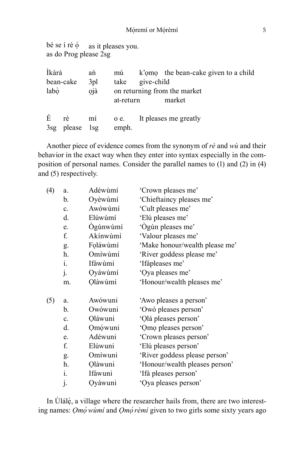bé se í rè  $\dot{\circ}$  as it pleases you. as do Prog please 2sg

| Ìkàrà |                      | an         | mú                |            | k'omo the bean-cake given to a child   |
|-------|----------------------|------------|-------------------|------------|----------------------------------------|
| labò  | bean-cake            | 3pl<br>ojà | take<br>at-return | give-child | on returning from the market<br>market |
| É     | rè<br>3sg please 1sg |            | emph.             |            | mí o e. It pleases me greatly          |

Another piece of evidence comes from the synonym of *rè* and *wù* and their behavior in the exact way when they enter into syntax especially in the composition of personal names. Consider the parallel names to (1) and (2) in (4) and (5) respectively.

| a.             | Adéwùmí  | 'Crown pleases me'             |
|----------------|----------|--------------------------------|
| b.             | Oyèwùmí  | 'Chieftaincy pleases me'       |
| C <sub>1</sub> | Awówùmí  | 'Cult pleases me'              |
| d.             | Elúwùmí  | 'Elú pleases me'               |
| e.             | Ógúnwùmí | 'Ògún pleases me'              |
| f.             | Akínwùmí | 'Valour pleases me'            |
| g.             | Foláwùmí | 'Make honour/wealth please me' |
| h.             | Omíwùmí  | 'River goddess please me'      |
| $i$ .          | Ifáwùmi  | 'Ifápleases me'                |
|                | Oyáwùmí  | 'Oya pleases me'               |
| m.             | Olàwùmí  | 'Honour/wealth pleases me'     |
| a.             | Awówuni  | 'Awo pleases a person'         |
| b.             | Owówuni  | 'Owó pleases person'           |
| c.             | Oláwuni  | 'Olá pleases person'           |
| d.             | Omówuni  | 'Omo pleases person'           |
| e.             | Adéwuni  | 'Crown pleases person'         |
| f.             | Elúwuni  | 'Elú pleases person'           |
|                | Omíwuni  | 'River goddess please person'  |
| h.             | Olàwuni  | 'Honour/wealth pleases person' |
| $i$ .          | Ifáwuni  | 'Ifá pleases person'           |
| j.             | Oyáwuni  | 'Oya pleases person'           |
|                | j.<br>g. |                                |

In Ulálè, a village where the researcher hails from, there are two interesting names: *Ọmọ́wùmí* and *Ọmọ́rèmí* given to two girls some sixty years ago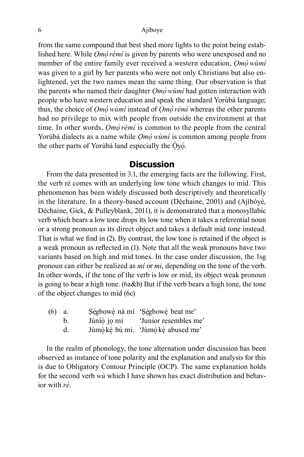from the same compound that best shed more lights to the point being established here. While *Ọmọ́rèmí* is given by parents who were unexposed and no member of the entire family ever received a western education, *Ọmọ́wùmí* was given to a girl by her parents who were not only Christians but also enlightened, yet the two names mean the same thing. Our observation is that the parents who named their daughter *Ọmọ́wùmí* had gotten interaction with people who have western education and speak the standard Yorùbá language; thus, the choice of *Ọmọ́wùmí* instead of *Ọmọ́rèmí* whereas the other parents had no privilege to mix with people from outside the environment at that time. In other words, *Ọmọ́rèmí* is common to the people from the central Yorùbá dialects as a name while *Ọmọ́wùmí* is common among people from the other parts of Yorùbá land especially the Oyó.

#### **Discussion**

From the data presented in 3.1, the emerging facts are the following. First, the verb rè comes with an underlying low tone which changes to mid. This phenomenon has been widely discussed both descriptively and theoretically in the literature. In a theory-based account (Déchaine, 2001) and (Ajíbóyè, Déchaine, Gick, & Pulleyblank, 2011), it is demonstrated that a monosyllabic verb which bears a low tone drops its low tone when it takes a referential noun or a strong pronoun as its direct object and takes a default mid tone instead. That is what we find in (2). By contrast, the low tone is retained if the object is a weak pronoun as reflected in (1). Note that all the weak pronouns have two variants based on high and mid tones. In the case under discussion, the 1sg pronoun can either be realized as *mí* or *mi*, depending on the tone of the verb. In other words, if the tone of the verb is low or mid, its object weak pronoun is going to bear a high tone. (6a&b) But if the verb bears a high tone, the tone of the object changes to mid (6c)

| (6) | а. |             | Ségbowè nà mí 'Ségbowè beat me'    |
|-----|----|-------------|------------------------------------|
|     | b. | Júnío jo mí | 'Junior resembles me'              |
|     |    |             | Jùmò ké bú mi. 'Jùmò ké abused me' |

In the realm of phonology, the tone alternation under discussion has been observed as instance of tone polarity and the explanation and analysis for this is due to Obligatory Contour Principle (OCP). The same explanation holds for the second verb *wù* which I have shown has exact distribution and behavior with *rè*.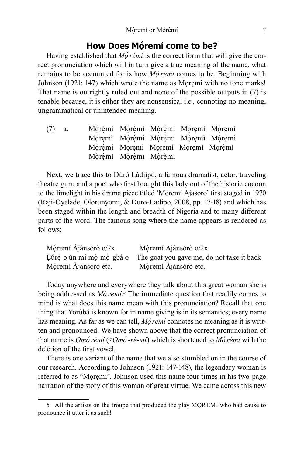## **How Does Móremí come to be?**

Having established that *M*o *rèmi* is the correct form that will give the correct pronunciation which will in turn give a true meaning of the name, what remains to be accounted for is how *Mo<sup><i>remi*</sup> comes to be. Beginning with</sup> Johnson (1921: 147) which wrote the name as Mọrẹmi with no tone marks! That name is outrightly ruled out and none of the possible outputs in (7) is tenable because, it is either they are nonsensical i.e., connoting no meaning, ungrammatical or unintended meaning.

| $(7)$ a. |  |                      |                                                                                                                |
|----------|--|----------------------|----------------------------------------------------------------------------------------------------------------|
|          |  |                      |                                                                                                                |
|          |  |                      |                                                                                                                |
|          |  |                      |                                                                                                                |
|          |  | Mòrèmì Mòrèmi Mòrèmí | Mórémí Mórémi Mórémi Móremí Móremi<br>Móremi Mòrémi Mòrémi Mòremi Mòrèmi<br>Mórèmi Moremi Moremi Moremi Morèmi |

Next, we trace this to Dúró Ládiipò, a famous dramatist, actor, traveling theatre guru and a poet who first brought this lady out of the historic cocoon to the limelight in his drama piece titled 'Moremi Ajasoro' first staged in 1970 (Raji-Oyelade, Olorunyomi, & Duro-Ladipo, 2008, pp. 17-18) and which has been staged within the length and breadth of Nigeria and to many different parts of the word. The famous song where the name appears is rendered as follows:

| Móremí Ajánsórò o/2x | Móremí Ajánsórò o/ $2x$                                            |
|----------------------|--------------------------------------------------------------------|
|                      | Eúré o ún mi mó mò gbà o The goat you gave me, do not take it back |
| Móremí Ajansorò etc. | Móremí Ajánsórò etc.                                               |

Today anywhere and everywhere they talk about this great woman she is being addressed as *Mo<sup><i>remi*.<sup>5</sup></sup> The immediate question that readily comes to mind is what does this name mean with this pronunciation? Recall that one thing that Yorùbá is known for in name giving is in its semantics; every name has meaning. As far as we can tell, *Mó remí* connotes no meaning as it is written and pronounced. We have shown above that the correct pronunciation of that name is *Ọmọ́rèmí* (<*Ọmọ́-rè-mí*) which is shortened to *Mọ́rèmí* with the deletion of the first vowel.

There is one variant of the name that we also stumbled on in the course of our research. According to Johnson (1921: 147-148), the legendary woman is referred to as "Mọrẹmi". Johnson used this name four times in his two-page narration of the story of this woman of great virtue. We came across this new

<sup>5</sup> All the artists on the troupe that produced the play MỌREMI who had cause to pronounce it utter it as such!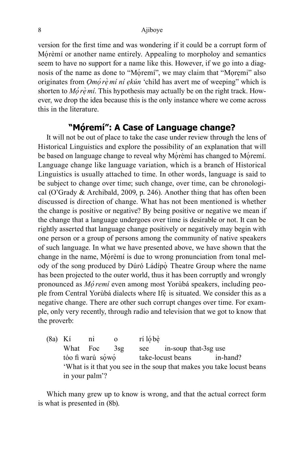version for the first time and was wondering if it could be a corrupt form of Moremi or another name entirely. Appealing to morpholoy and semantics seem to have no support for a name like this. However, if we go into a diagnosis of the name as done to "Móremí", we may claim that "Moremi" also originates from *Ọmọ́re ̣ ̀mí ní ẹkún* 'child has avert me of weeping" which is shorten to *Mo<sup>'</sup>re mi*. This hypothesis may actually be on the right track. However, we drop the idea because this is the only instance where we come across this in the literature.

## **"Mọ ́remí": A Case of Language change?**

It will not be out of place to take the case under review through the lens of Historical Linguistics and explore the possibility of an explanation that will be based on language change to reveal why Mórèmí has changed to Móremí. Language change like language variation, which is a branch of Historical Linguistics is usually attached to time. In other words, language is said to be subject to change over time; such change, over time, can be chronological (O'Grady & Archibald, 2009, p. 246). Another thing that has often been discussed is direction of change. What has not been mentioned is whether the change is positive or negative? By being positive or negative we mean if the change that a language undergoes over time is desirable or not. It can be rightly asserted that language change positively or negatively may begin with one person or a group of persons among the community of native speakers of such language. In what we have presented above, we have shown that the change in the name, Mórèmí is due to wrong pronunciation from tonal melody of the song produced by Dúró Ládípọ̀ Theatre Group where the name has been projected to the outer world, thus it has been corruptly and wrongly pronounced as *Mọ́remí* even among most Yorùbá speakers, including people from Central Yorùbá dialects where Ifè is situated. We consider this as a negative change. There are other such corrupt changes over time. For example, only very recently, through radio and television that we got to know that the proverb:

 $(8a)$  Kí ni o rílóbè What Foc 3sg see in-soup that-3sg use tóo fi warú sówó take-locust beans in-hand? 'What is it that you see in the soup that makes you take locust beans in your palm'?

Which many grew up to know is wrong, and that the actual correct form is what is presented in (8b).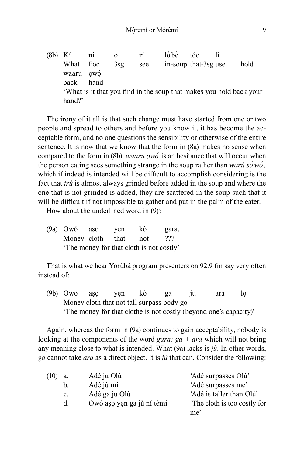(8b) Kí ni o rí lóbè tóo fi What Foc 3sg see in-soup that-3sg use hold waaru ọwọ<br>back hang hand 'What is it that you find in the soup that makes you hold back your hand?'

The irony of it all is that such change must have started from one or two people and spread to others and before you know it, it has become the acceptable form, and no one questions the sensibility or otherwise of the entire sentence. It is now that we know that the form in (8a) makes no sense when compared to the form in (8b); *waaru ọwọ́* is an hesitance that will occur when the person eating sees something strange in the soup rather than *warú sọ́wọ́ ,* which if indeed is intended will be difficult to accomplish considering is the fact that *irú* is almost always grinded before added in the soup and where the one that is not grinded is added, they are scattered in the soup such that it will be difficult if not impossible to gather and put in the palm of the eater.

How about the underlined word in (9)?

(9a) Owó aṣọ yẹn kò gara. Money cloth that not ??? 'The money for that cloth is not costly'

That is what we hear Yorùbá program presenters on 92.9 fm say very often instead of:

(9b) Owo aṣọ yẹn kò ga ju ara lọ Money cloth that not tall surpass body go 'The money for that clothe is not costly (beyond one's capacity)'

Again, whereas the form in (9a) continues to gain acceptability, nobody is looking at the components of the word *gara: ga + ara* which will not bring any meaning close to what is intended. What (9a) lacks is *jù*. In other words, *ga* cannot take *ara* as a direct object. It is *jù* that can. Consider the following:

| (10)<br>a. | Adé ju Olú                | 'Adé surpasses Olú'         |
|------------|---------------------------|-----------------------------|
| b.         | Adé jù mí                 | 'Adé surpasses me'          |
| C.         | Adé ga ju Olú             | 'Adé is taller than Olú'    |
| d.         | Owó așo yen ga jù ní tèmi | The cloth is too costly for |
|            |                           | me'                         |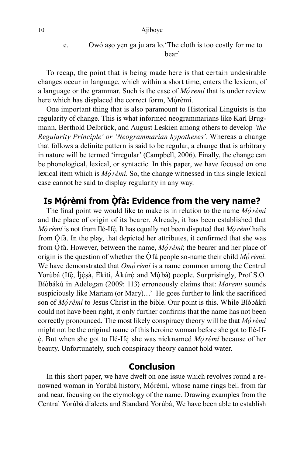e. Owó aṣọ yẹn ga ju ara lo.'The cloth is too costly for me to bear'

To recap, the point that is being made here is that certain undesirable changes occur in language, which within a short time, enters the lexicon, of a language or the grammar. Such is the case of *Mọ́remí* that is under review here which has displaced the correct form, Mórèmí.

One important thing that is also paramount to Historical Linguists is the regularity of change. This is what informed neogrammarians like Karl Brugmann, Berthold Delbrück, and August Leskien among others to develop *'the Regularity Principle' or 'Neogrammarian hypotheses'.* Whereas a change that follows a definite pattern is said to be regular, a change that is arbitrary in nature will be termed 'irregular' (Campbell, 2006). Finally, the change can be phonological, lexical, or syntactic. In this paper, we have focused on one lexical item which is *Mọ́rèmí*. So, the change witnessed in this single lexical case cannot be said to display regularity in any way.

## **Is Mọ ́rèmí from Ọ ̀ fà: Evidence from the very name?**

The final point we would like to make is in relation to the name *Mọ́rèmí* and the place of origin of its bearer. Already, it has been established that *Mó rèmí* is not from Ilé-Ifè. It has equally not been disputed that *Mó rèmí* hails from  $\dot{O}$  fà. In the play, that depicted her attributes, it confirmed that she was from  $\dot{\text{O}}$  fà. However, between the name, *Mo<sup>'</sup>rèmi*; the bearer and her place of origin is the question of whether the  $\dot{O}$  fà people so-name their child *Mo<sup>rèmi*.</sup> We have demonstrated that *Omo<sup><i>i*</sup> $\vec{r}$ *èmí* is a name common among the Central Yorùbá (Ifè, İjèsà, Èkìtì, Àkúré and Mòbà) people. Surprisingly, Prof S.O. Bíòbákú in Adelegan (2009: 113) erroneously claims that: *Moremi* sounds suspiciously like Mariam (or Mary)…' He goes further to link the sacrificed son of *Mọ́rèmí* to Jesus Christ in the bible. Our point is this. While Bíòbákú could not have been right, it only further confirms that the name has not been correctly pronounced. The most likely conspiracy theory will be that *Mọ́rèmí* might not be the original name of this heroine woman before she got to Ilé-Ife. But when she got to Ilé-Ife she was nicknamed *Mo rèmi* because of her beauty. Unfortunately, such conspiracy theory cannot hold water.

## **Conclusion**

In this short paper, we have dwelt on one issue which revolves round a renowned woman in Yorùbá history, Mórèmí, whose name rings bell from far and near, focusing on the etymology of the name. Drawing examples from the Central Yorùbá dialects and Standard Yorùbá, We have been able to establish